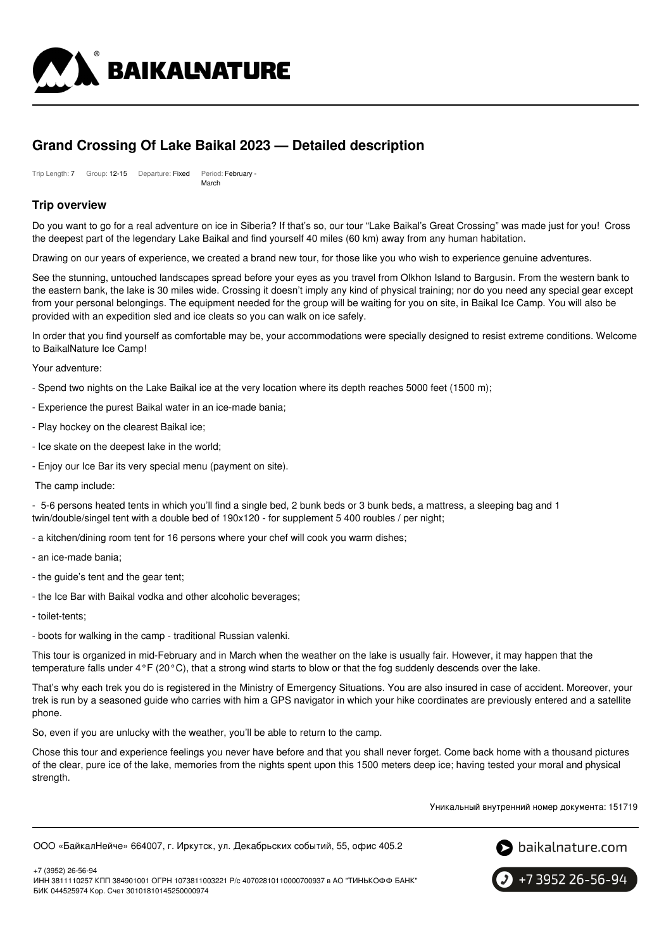

# **Grand Crossing Of Lake Baikal 2023 — Detailed description**

Trip Length: 7 Group: 12-15 Departure: Fixed Period: February -March

# **Trip overview**

Do you want to go for a real adventure on ice in Siberia? If that's so, our tour "Lake Baikal's Great Crossing" was made just for you! Cross the deepest part of the legendary Lake Baikal and find yourself 40 miles (60 km) away from any human habitation.

Drawing on our years of experience, we created a brand new tour, for those like you who wish to experience genuine adventures.

See the stunning, untouched landscapes spread before your eyes as you travel from Olkhon Island to Bargusin. From the western bank to the eastern bank, the lake is 30 miles wide. Crossing it doesn't imply any kind of physical training; nor do you need any special gear except from your personal belongings. The equipment needed for the group will be waiting for you on site, in Baikal Ice Camp. You will also be provided with an expedition sled and ice cleats so you can walk on ice safely.

In order that you find yourself as comfortable may be, your accommodations were specially designed to resist extreme conditions. Welcome to BaikalNature Ice Camp!

Your adventure:

- Spend two nights on the Lake Baikal ice at the very location where its depth reaches 5000 feet (1500 m);
- Experience the purest Baikal water in an ice-made bania;
- Play hockey on the clearest Baikal ice;
- Ice skate on the deepest lake in the world;
- Enjoy our Ice Bar its very special menu (payment on site).

The camp include:

- 5-6 persons heated tents in which you'll find a single bed, 2 bunk beds or 3 bunk beds, a mattress, a sleeping bag and 1 twin/double/singel tent with a double bed of 190x120 - for supplement 5 400 roubles / per night;

- a kitchen/dining room tent for 16 persons where your chef will cook you warm dishes;
- an ice-made bania;
- the guide's tent and the gear tent;
- the Ice Bar with Baikal vodka and other alcoholic beverages;
- toilet-tents;
- boots for walking in the camp traditional Russian valenki.

This tour is organized in mid-February and in March when the weather on the lake is usually fair. However, it may happen that the temperature falls under 4°F (20°C), that a strong wind starts to blow or that the fog suddenly descends over the lake.

That's why each trek you do is registered in the Ministry of Emergency Situations. You are also insured in case of accident. Moreover, your trek is run by a seasoned guide who carries with him a GPS navigator in which your hike coordinates are previously entered and a satellite phone.

So, even if you are unlucky with the weather, you'll be able to return to the camp.

Chose this tour and experience feelings you never have before and that you shall never forget. Come back home with a thousand pictures of the clear, pure ice of the lake, memories from the nights spent upon this 1500 meters deep ice; having tested your moral and physical strength.

Уникальный внутренний номер документа: 151719

```
ООО «БайкалНейче» 664007, г. Иркутск, ул. Декабрьских событий, 55, офис 405.2
```


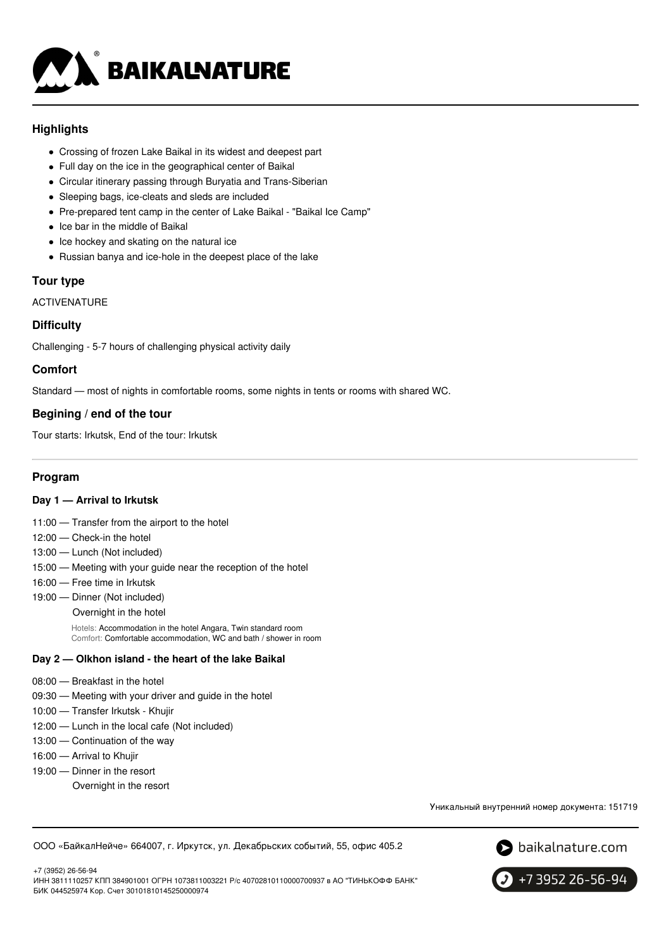

# **Highlights**

- Crossing of frozen Lake Baikal in its widest and deepest part
- Full day on the ice in the geographical center of Baikal
- Circular itinerary passing through Buryatia and Trans-Siberian
- Sleeping bags, ice-cleats and sleds are included
- Pre-prepared tent camp in the center of Lake Baikal "Baikal Ice Camp"
- Ice bar in the middle of Baikal
- Ice hockey and skating on the natural ice
- Russian banya and ice-hole in the deepest place of the lake

#### **Tour type**

ACTIVENATURE

# **Difficulty**

Challenging - 5-7 hours of challenging physical activity daily

# **Comfort**

Standard — most of nights in comfortable rooms, some nights in tents or rooms with shared WC.

# **Begining / end of the tour**

Tour starts: Irkutsk, End of the tour: Irkutsk

### **Program**

#### **Day 1 — Arrival to Irkutsk**

- 11:00 Transfer from the airport to the hotel
- 12:00 Check-in the hotel
- 13:00 Lunch (Not included)
- 15:00 Meeting with your guide near the reception of the hotel
- 16:00 Free time in Irkutsk
- 19:00 Dinner (Not included)
	- Overnight in the hotel

Hotels: Accommodation in the hotel Angara, Twin standard room Comfort: Comfortable accommodation, WC and bath / shower in room

#### **Day 2 — Olkhon island - the heart of the lake Baikal**

- 08:00 Breakfast in the hotel
- 09:30 Meeting with your driver and guide in the hotel
- 10:00 Transfer Irkutsk Khujir
- 12:00 Lunch in the local cafe (Not included)
- 13:00 Continuation of the way
- 16:00 Arrival to Khujir
- 19:00 Dinner in the resort Overnight in the resort

Уникальный внутренний номер документа: 151719

ООО «БайкалНейче» 664007, г. Иркутск, ул. Декабрьских событий, 55, офис 405.2



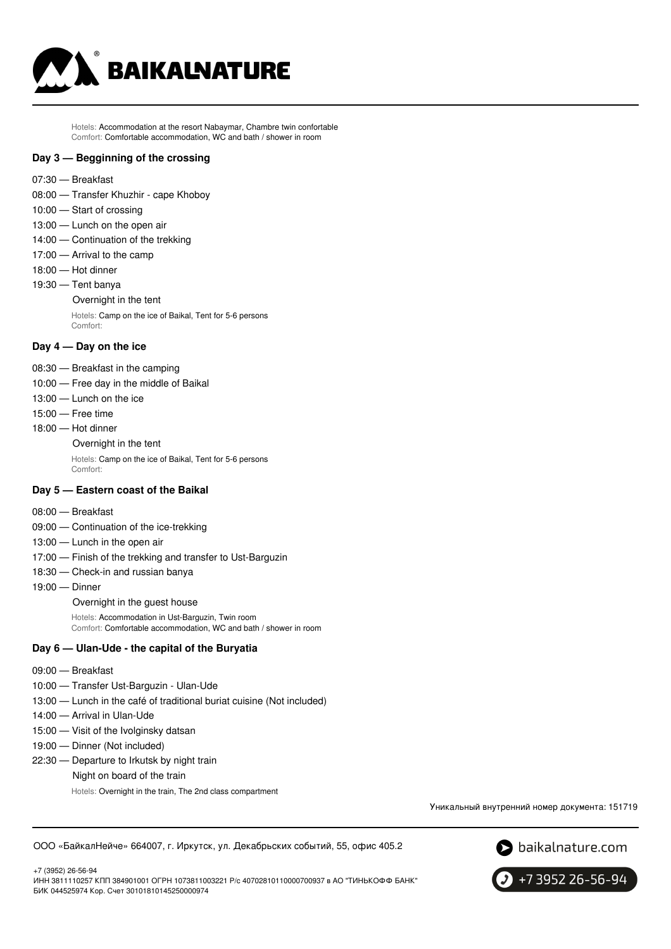

Hotels: Accommodation at the resort Nabaymar, Chambre twin confortable Comfort: Comfortable accommodation, WC and bath / shower in room

#### **Day 3 — Begginning of the crossing**

- 07:30 Breakfast
- 08:00 Transfer Khuzhir cape Khoboy
- 10:00 Start of crossing
- 13:00 Lunch on the open air
- 14:00 Continuation of the trekking
- 17:00 Arrival to the camp
- 18:00 Hot dinner
- 19:30 Tent banya
	- Overnight in the tent

Hotels: Camp on the ice of Baikal, Tent for 5-6 persons Comfort:

#### **Day 4 — Day on the ice**

- 08:30 Breakfast in the camping
- 10:00 Free day in the middle of Baikal
- 13:00 Lunch on the ice
- 15:00 Free time
- 18:00 Hot dinner

#### Overnight in the tent

Hotels: Camp on the ice of Baikal, Tent for 5-6 persons Comfort:

#### **Day 5 — Eastern coast of the Baikal**

- 08:00 Breakfast
- 09:00 Continuation of the ice-trekking
- 13:00 Lunch in the open air
- 17:00 Finish of the trekking and transfer to Ust-Barguzin
- 18:30 Check-in and russian banya
- 19:00 Dinner

Overnight in the guest house

Hotels: Accommodation in Ust-Barguzin, Twin room Comfort: Comfortable accommodation, WC and bath / shower in room

#### **Day 6 — Ulan-Ude - the capital of the Buryatia**

- 09:00 Breakfast
- 10:00 Transfer Ust-Barguzin Ulan-Ude
- 13:00 Lunch in the café of traditional buriat cuisine (Not included)
- 14:00 Arrival in Ulan-Ude
- 15:00 Visit of the Ivolginsky datsan
- 19:00 Dinner (Not included)
- 22:30 Departure to Irkutsk by night train
	- Night on board of the train
		- Hotels: Overnight in the train, The 2nd class compartment

Уникальный внутренний номер документа: 151719

ООО «БайкалНейче» 664007, г. Иркутск, ул. Декабрьских событий, 55, офис 405.2



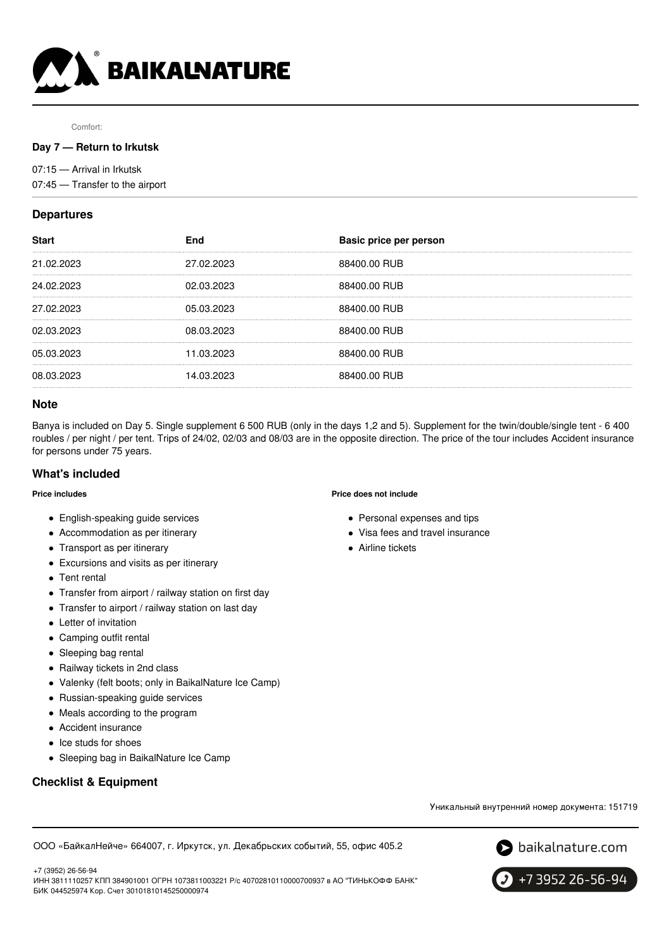

Comfort:

#### **Day 7 — Return to Irkutsk**

07:15 — Arrival in Irkutsk

07:45 — Transfer to the airport

# **Departures**

| <b>Start</b> | End        | Basic price per person |
|--------------|------------|------------------------|
| 21.02.2023   | 27.02.2023 | 88400.00 RUB           |
| 24.02.2023   | 02.03.2023 | 88400.00 RUB           |
| 27.02.2023   | 05.03.2023 | 88400.00 RUB           |
| 02.03.2023   | 08.03.2023 | 88400.00 RUB           |
| 05.03.2023   | 11.03.2023 | 88400.00 RUB           |
| 08.03.2023   | 14.03.2023 | 88400.00 RUB           |
|              |            |                        |

#### **Note**

Banya is included on Day 5. Single supplement 6 500 RUB (only in the days 1,2 and 5). Supplement for the twin/double/single tent - 6 400 roubles / per night / per tent. Trips of 24/02, 02/03 and 08/03 are in the opposite direction. The price of the tour includes Accident insurance for persons under 75 years.

#### **What's included**

#### **Price includes**

- English-speaking guide services
- Accommodation as per itinerary
- Transport as per itinerary
- Excursions and visits as per itinerary
- Tent rental
- Transfer from airport / railway station on first day
- Transfer to airport / railway station on last day
- Letter of invitation
- Camping outfit rental
- Sleeping bag rental
- Railway tickets in 2nd class
- Valenky (felt boots; only in BaikalNature Ice Camp)
- Russian-speaking guide services
- Meals according to the program
- Accident insurance
- Ice studs for shoes
- Sleeping bag in BaikalNature Ice Camp

# **Checklist & Equipment**

#### **Price does not include**

- Personal expenses and tips
- Visa fees and travel insurance
- Airline tickets

Уникальный внутренний номер документа: 151719

ООО «БайкалНейче» 664007, г. Иркутск, ул. Декабрьских событий, 55, офис 405.2



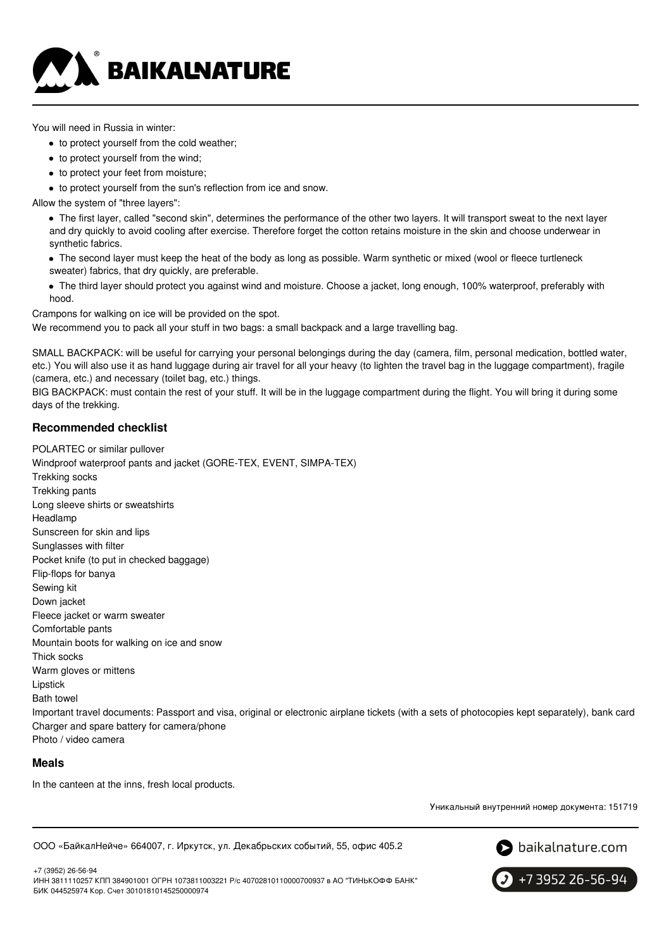

You will need in Russia in winter:

- to protect yourself from the cold weather;
- to protect yourself from the wind;
- to protect your feet from moisture;
- to protect yourself from the sun's reflection from ice and snow.

Allow the system of "three layers":

The first layer, called "second skin", determines the performance of the other two layers. It will transport sweat to the next layer and dry quickly to avoid cooling after exercise. Therefore forget the cotton retains moisture in the skin and choose underwear in synthetic fabrics.

- The second layer must keep the heat of the body as long as possible. Warm synthetic or mixed (wool or fleece turtleneck sweater) fabrics, that dry quickly, are preferable.
- The third layer should protect you against wind and moisture. Choose a jacket, long enough, 100% waterproof, preferably with hood.

Crampons for walking on ice will be provided on the spot.

We recommend you to pack all your stuff in two bags: a small backpack and a large travelling bag.

SMALL BACKPACK: will be useful for carrying your personal belongings during the day (camera, film, personal medication, bottled water, etc.) You will also use it as hand luggage during air travel for all your heavy (to lighten the travel bag in the luggage compartment), fragile (camera, etc.) and necessary (toilet bag, etc.) things.

BIG BACKPACK: must contain the rest of your stuff. It will be in the luggage compartment during the flight. You will bring it during some days of the trekking.

# **Recommended checklist**

POLARTEC or similar pullover Windproof waterproof pants and jacket (GORE-TEX, EVENT, SIMPA-TEX) Trekking socks Trekking pants Long sleeve shirts or sweatshirts Headlamp Sunscreen for skin and lips Sunglasses with filter Pocket knife (to put in checked baggage) Flip-flops for banya Sewing kit Down jacket Fleece jacket or warm sweater Comfortable pants Mountain boots for walking on ice and snow Thick socks Warm gloves or mittens Lipstick Bath towel Important travel documents: Passport and visa, original or electronic airplane tickets (with a sets of photocopies kept separately), bank card Charger and spare battery for camera/phone Photo / video camera

**Meals**

In the canteen at the inns, fresh local products.

Уникальный внутренний номер документа: 151719

ООО «БайкалНейче» 664007, г. Иркутск, ул. Декабрьских событий, 55, офис 405.2



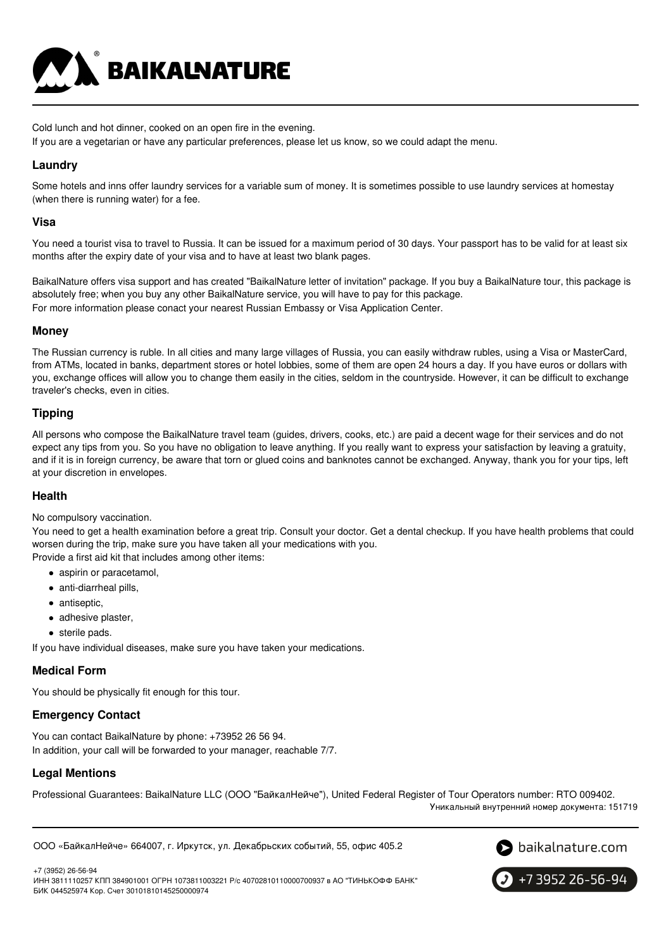

Cold lunch and hot dinner, cooked on an open fire in the evening.

If you are a vegetarian or have any particular preferences, please let us know, so we could adapt the menu.

# **Laundry**

Some hotels and inns offer laundry services for a variable sum of money. It is sometimes possible to use laundry services at homestay (when there is running water) for a fee.

### **Visa**

You need a tourist visa to travel to Russia. It can be issued for a maximum period of 30 days. Your passport has to be valid for at least six months after the expiry date of your visa and to have at least two blank pages.

BaikalNature offers visa support and has created "BaikalNature letter of invitation" package. If you buy a BaikalNature tour, this package is absolutely free; when you buy any other BaikalNature service, you will have to pay for this package. For more information please conact your nearest Russian Embassy or Visa Application Center.

# **Money**

The Russian currency is ruble. In all cities and many large villages of Russia, you can easily withdraw rubles, using a Visa or MasterCard, from ATMs, located in banks, department stores or hotel lobbies, some of them are open 24 hours a day. If you have euros or dollars with you, exchange offices will allow you to change them easily in the cities, seldom in the countryside. However, it can be difficult to exchange traveler's checks, even in cities.

# **Tipping**

All persons who compose the BaikalNature travel team (guides, drivers, cooks, etc.) are paid a decent wage for their services and do not expect any tips from you. So you have no obligation to leave anything. If you really want to express your satisfaction by leaving a gratuity, and if it is in foreign currency, be aware that torn or glued coins and banknotes cannot be exchanged. Anyway, thank you for your tips, left at your discretion in envelopes.

#### **Health**

No compulsory vaccination.

You need to get a health examination before a great trip. Consult your doctor. Get a dental checkup. If you have health problems that could worsen during the trip, make sure you have taken all your medications with you.

Provide a first aid kit that includes among other items:

- aspirin or paracetamol,
- anti-diarrheal pills,
- antiseptic,
- adhesive plaster,
- sterile pads.
- If you have individual diseases, make sure you have taken your medications.

#### **Medical Form**

You should be physically fit enough for this tour.

# **Emergency Contact**

You can contact BaikalNature by phone: +73952 26 56 94. In addition, your call will be forwarded to your manager, reachable 7/7.

# **Legal Mentions**

Professional Guarantees: BaikalNature LLC (ООО "БайкалНейче"), United Federal Register of Tour Operators number: RTO 009402.

Уникальный внутренний номер документа: 151719

ООО «БайкалНейче» 664007, г. Иркутск, ул. Декабрьских событий, 55, офис 405.2